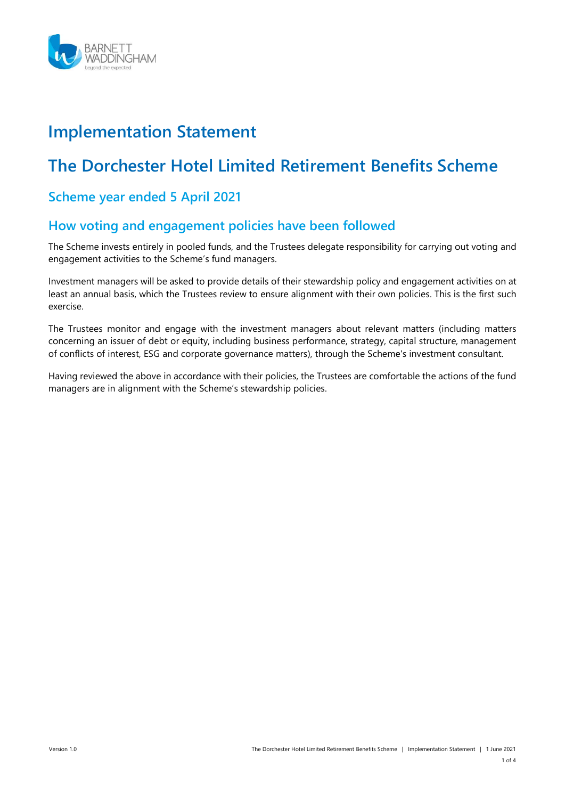

# Implementation Statement

# The Dorchester Hotel Limited Retirement Benefits Scheme

### Scheme year ended 5 April 2021

#### How voting and engagement policies have been followed

The Scheme invests entirely in pooled funds, and the Trustees delegate responsibility for carrying out voting and engagement activities to the Scheme's fund managers.

Investment managers will be asked to provide details of their stewardship policy and engagement activities on at least an annual basis, which the Trustees review to ensure alignment with their own policies. This is the first such exercise.

The Trustees monitor and engage with the investment managers about relevant matters (including matters concerning an issuer of debt or equity, including business performance, strategy, capital structure, management of conflicts of interest, ESG and corporate governance matters), through the Scheme's investment consultant.

Having reviewed the above in accordance with their policies, the Trustees are comfortable the actions of the fund managers are in alignment with the Scheme's stewardship policies.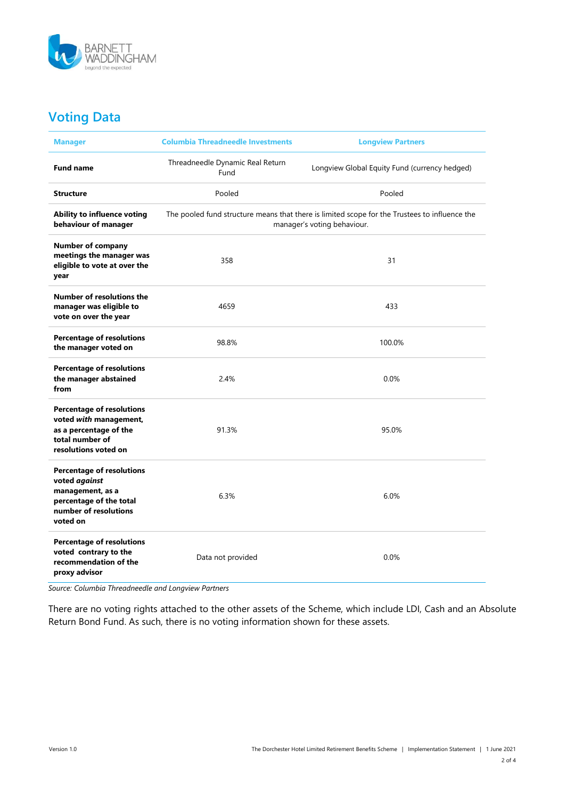

## Voting Data

| <b>Manager</b>                                                                                                                        | <b>Columbia Threadneedle Investments</b><br><b>Longview Partners</b>                                                         |                                               |  |  |
|---------------------------------------------------------------------------------------------------------------------------------------|------------------------------------------------------------------------------------------------------------------------------|-----------------------------------------------|--|--|
| <b>Fund name</b>                                                                                                                      | Threadneedle Dynamic Real Return<br>Fund                                                                                     | Longview Global Equity Fund (currency hedged) |  |  |
| <b>Structure</b>                                                                                                                      | Pooled                                                                                                                       | Pooled                                        |  |  |
| Ability to influence voting<br>behaviour of manager                                                                                   | The pooled fund structure means that there is limited scope for the Trustees to influence the<br>manager's voting behaviour. |                                               |  |  |
| <b>Number of company</b><br>meetings the manager was<br>eligible to vote at over the<br>year                                          | 358                                                                                                                          | 31                                            |  |  |
| Number of resolutions the<br>manager was eligible to<br>vote on over the year                                                         | 4659                                                                                                                         | 433                                           |  |  |
| <b>Percentage of resolutions</b><br>the manager voted on                                                                              | 98.8%                                                                                                                        | 100.0%                                        |  |  |
| <b>Percentage of resolutions</b><br>the manager abstained<br>from                                                                     | 2.4%                                                                                                                         | 0.0%                                          |  |  |
| <b>Percentage of resolutions</b><br>voted with management,<br>as a percentage of the<br>total number of<br>resolutions voted on       | 91.3%                                                                                                                        | 95.0%                                         |  |  |
| <b>Percentage of resolutions</b><br>voted against<br>management, as a<br>percentage of the total<br>number of resolutions<br>voted on | 6.3%                                                                                                                         | 6.0%                                          |  |  |
| <b>Percentage of resolutions</b><br>voted contrary to the<br>recommendation of the<br>proxy advisor                                   | Data not provided                                                                                                            | 0.0%                                          |  |  |

Source: Columbia Threadneedle and Longview Partners

There are no voting rights attached to the other assets of the Scheme, which include LDI, Cash and an Absolute Return Bond Fund. As such, there is no voting information shown for these assets.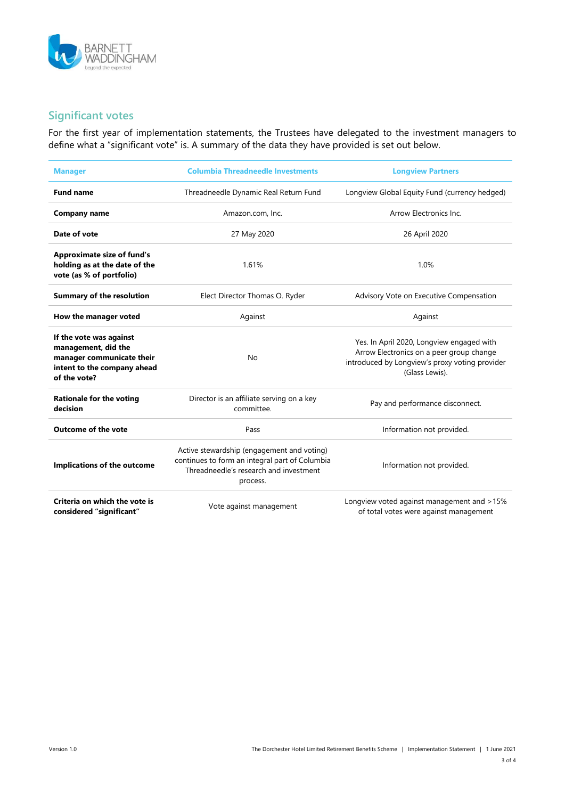

### Significant votes

For the first year of implementation statements, the Trustees have delegated to the investment managers to define what a "significant vote" is. A summary of the data they have provided is set out below.

| <b>Manager</b>                                                                                                             | <b>Columbia Threadneedle Investments</b>                                                                                                           | <b>Longview Partners</b>                                                                                                                                  |  |
|----------------------------------------------------------------------------------------------------------------------------|----------------------------------------------------------------------------------------------------------------------------------------------------|-----------------------------------------------------------------------------------------------------------------------------------------------------------|--|
| <b>Fund name</b>                                                                                                           | Threadneedle Dynamic Real Return Fund                                                                                                              | Longview Global Equity Fund (currency hedged)                                                                                                             |  |
| Company name                                                                                                               | Amazon.com, Inc.                                                                                                                                   | Arrow Electronics Inc.                                                                                                                                    |  |
| Date of vote                                                                                                               | 27 May 2020                                                                                                                                        | 26 April 2020                                                                                                                                             |  |
| <b>Approximate size of fund's</b><br>holding as at the date of the<br>vote (as % of portfolio)                             | 1.61%                                                                                                                                              | 1.0%                                                                                                                                                      |  |
| <b>Summary of the resolution</b>                                                                                           | Elect Director Thomas O. Ryder                                                                                                                     | Advisory Vote on Executive Compensation                                                                                                                   |  |
| How the manager voted                                                                                                      | Against                                                                                                                                            | Against                                                                                                                                                   |  |
| If the vote was against<br>management, did the<br>manager communicate their<br>intent to the company ahead<br>of the vote? | <b>No</b>                                                                                                                                          | Yes. In April 2020, Longview engaged with<br>Arrow Electronics on a peer group change<br>introduced by Longview's proxy voting provider<br>(Glass Lewis). |  |
| <b>Rationale for the voting</b><br>decision                                                                                | Director is an affiliate serving on a key<br>committee.                                                                                            | Pay and performance disconnect.                                                                                                                           |  |
| <b>Outcome of the vote</b>                                                                                                 | Pass                                                                                                                                               | Information not provided.                                                                                                                                 |  |
| Implications of the outcome                                                                                                | Active stewardship (engagement and voting)<br>continues to form an integral part of Columbia<br>Threadneedle's research and investment<br>process. | Information not provided.                                                                                                                                 |  |
| Criteria on which the vote is<br>considered "sianificant"                                                                  | Vote against management                                                                                                                            | Longview voted against management and >15%<br>of total votes were against management                                                                      |  |